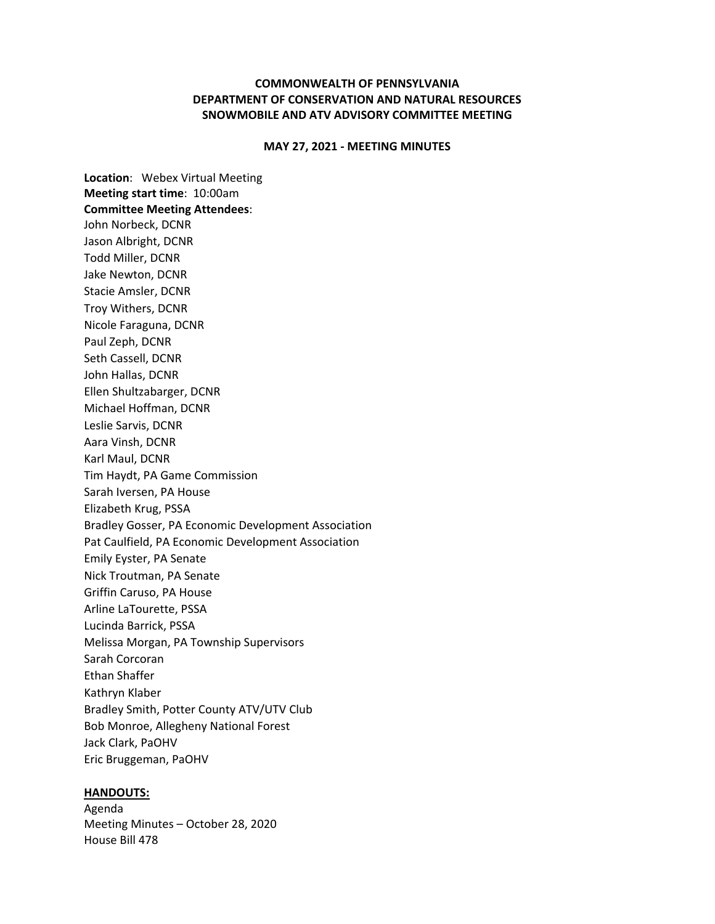## **COMMONWEALTH OF PENNSYLVANIA DEPARTMENT OF CONSERVATION AND NATURAL RESOURCES SNOWMOBILE AND ATV ADVISORY COMMITTEE MEETING**

#### **MAY 27, 2021 ‐ MEETING MINUTES**

**Location**: Webex Virtual Meeting **Meeting start time**: 10:00am **Committee Meeting Attendees**: John Norbeck, DCNR Jason Albright, DCNR Todd Miller, DCNR Jake Newton, DCNR Stacie Amsler, DCNR Troy Withers, DCNR Nicole Faraguna, DCNR Paul Zeph, DCNR Seth Cassell, DCNR John Hallas, DCNR Ellen Shultzabarger, DCNR Michael Hoffman, DCNR Leslie Sarvis, DCNR Aara Vinsh, DCNR Karl Maul, DCNR Tim Haydt, PA Game Commission Sarah Iversen, PA House Elizabeth Krug, PSSA Bradley Gosser, PA Economic Development Association Pat Caulfield, PA Economic Development Association Emily Eyster, PA Senate Nick Troutman, PA Senate Griffin Caruso, PA House Arline LaTourette, PSSA Lucinda Barrick, PSSA Melissa Morgan, PA Township Supervisors Sarah Corcoran Ethan Shaffer Kathryn Klaber Bradley Smith, Potter County ATV/UTV Club Bob Monroe, Allegheny National Forest Jack Clark, PaOHV Eric Bruggeman, PaOHV

#### **HANDOUTS:**

Agenda Meeting Minutes – October 28, 2020 House Bill 478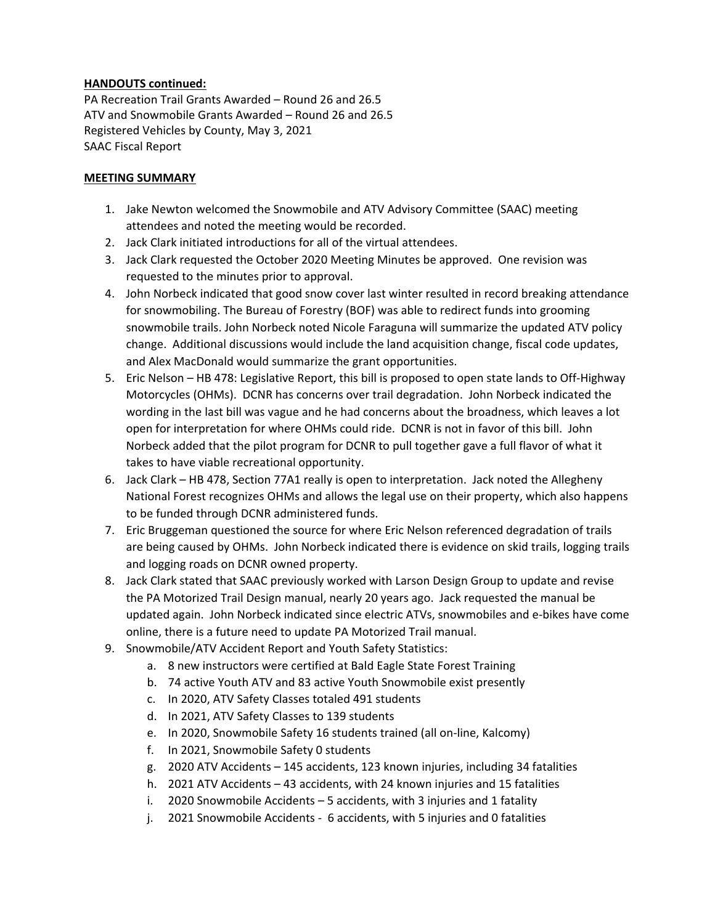## **HANDOUTS continued:**

PA Recreation Trail Grants Awarded – Round 26 and 26.5 ATV and Snowmobile Grants Awarded – Round 26 and 26.5 Registered Vehicles by County, May 3, 2021 SAAC Fiscal Report

#### **MEETING SUMMARY**

- 1. Jake Newton welcomed the Snowmobile and ATV Advisory Committee (SAAC) meeting attendees and noted the meeting would be recorded.
- 2. Jack Clark initiated introductions for all of the virtual attendees.
- 3. Jack Clark requested the October 2020 Meeting Minutes be approved. One revision was requested to the minutes prior to approval.
- 4. John Norbeck indicated that good snow cover last winter resulted in record breaking attendance for snowmobiling. The Bureau of Forestry (BOF) was able to redirect funds into grooming snowmobile trails. John Norbeck noted Nicole Faraguna will summarize the updated ATV policy change. Additional discussions would include the land acquisition change, fiscal code updates, and Alex MacDonald would summarize the grant opportunities.
- 5. Eric Nelson HB 478: Legislative Report, this bill is proposed to open state lands to Off-Highway Motorcycles (OHMs). DCNR has concerns over trail degradation. John Norbeck indicated the wording in the last bill was vague and he had concerns about the broadness, which leaves a lot open for interpretation for where OHMs could ride. DCNR is not in favor of this bill. John Norbeck added that the pilot program for DCNR to pull together gave a full flavor of what it takes to have viable recreational opportunity.
- 6. Jack Clark HB 478, Section 77A1 really is open to interpretation. Jack noted the Allegheny National Forest recognizes OHMs and allows the legal use on their property, which also happens to be funded through DCNR administered funds.
- 7. Eric Bruggeman questioned the source for where Eric Nelson referenced degradation of trails are being caused by OHMs. John Norbeck indicated there is evidence on skid trails, logging trails and logging roads on DCNR owned property.
- 8. Jack Clark stated that SAAC previously worked with Larson Design Group to update and revise the PA Motorized Trail Design manual, nearly 20 years ago. Jack requested the manual be updated again. John Norbeck indicated since electric ATVs, snowmobiles and e‐bikes have come online, there is a future need to update PA Motorized Trail manual.
- 9. Snowmobile/ATV Accident Report and Youth Safety Statistics:
	- a. 8 new instructors were certified at Bald Eagle State Forest Training
	- b. 74 active Youth ATV and 83 active Youth Snowmobile exist presently
	- c. In 2020, ATV Safety Classes totaled 491 students
	- d. In 2021, ATV Safety Classes to 139 students
	- e. In 2020, Snowmobile Safety 16 students trained (all on‐line, Kalcomy)
	- f. In 2021, Snowmobile Safety 0 students
	- g. 2020 ATV Accidents 145 accidents, 123 known injuries, including 34 fatalities
	- h. 2021 ATV Accidents 43 accidents, with 24 known injuries and 15 fatalities
	- i. 2020 Snowmobile Accidents 5 accidents, with 3 injuries and 1 fatality
	- j. 2021 Snowmobile Accidents ‐ 6 accidents, with 5 injuries and 0 fatalities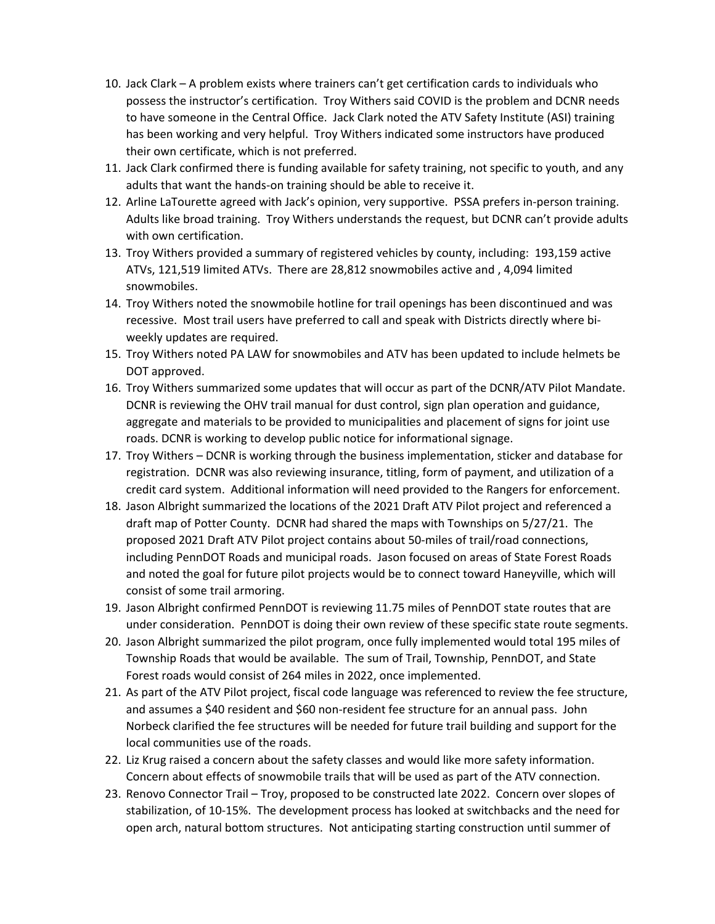- 10. Jack Clark A problem exists where trainers can't get certification cards to individuals who possess the instructor's certification. Troy Withers said COVID is the problem and DCNR needs to have someone in the Central Office. Jack Clark noted the ATV Safety Institute (ASI) training has been working and very helpful. Troy Withers indicated some instructors have produced their own certificate, which is not preferred.
- 11. Jack Clark confirmed there is funding available for safety training, not specific to youth, and any adults that want the hands‐on training should be able to receive it.
- 12. Arline LaTourette agreed with Jack's opinion, very supportive. PSSA prefers in‐person training. Adults like broad training. Troy Withers understands the request, but DCNR can't provide adults with own certification.
- 13. Troy Withers provided a summary of registered vehicles by county, including: 193,159 active ATVs, 121,519 limited ATVs. There are 28,812 snowmobiles active and , 4,094 limited snowmobiles.
- 14. Troy Withers noted the snowmobile hotline for trail openings has been discontinued and was recessive. Most trail users have preferred to call and speak with Districts directly where bi‐ weekly updates are required.
- 15. Troy Withers noted PA LAW for snowmobiles and ATV has been updated to include helmets be DOT approved.
- 16. Troy Withers summarized some updates that will occur as part of the DCNR/ATV Pilot Mandate. DCNR is reviewing the OHV trail manual for dust control, sign plan operation and guidance, aggregate and materials to be provided to municipalities and placement of signs for joint use roads. DCNR is working to develop public notice for informational signage.
- 17. Troy Withers DCNR is working through the business implementation, sticker and database for registration. DCNR was also reviewing insurance, titling, form of payment, and utilization of a credit card system. Additional information will need provided to the Rangers for enforcement.
- 18. Jason Albright summarized the locations of the 2021 Draft ATV Pilot project and referenced a draft map of Potter County. DCNR had shared the maps with Townships on 5/27/21. The proposed 2021 Draft ATV Pilot project contains about 50‐miles of trail/road connections, including PennDOT Roads and municipal roads. Jason focused on areas of State Forest Roads and noted the goal for future pilot projects would be to connect toward Haneyville, which will consist of some trail armoring.
- 19. Jason Albright confirmed PennDOT is reviewing 11.75 miles of PennDOT state routes that are under consideration. PennDOT is doing their own review of these specific state route segments.
- 20. Jason Albright summarized the pilot program, once fully implemented would total 195 miles of Township Roads that would be available. The sum of Trail, Township, PennDOT, and State Forest roads would consist of 264 miles in 2022, once implemented.
- 21. As part of the ATV Pilot project, fiscal code language was referenced to review the fee structure, and assumes a \$40 resident and \$60 non-resident fee structure for an annual pass. John Norbeck clarified the fee structures will be needed for future trail building and support for the local communities use of the roads.
- 22. Liz Krug raised a concern about the safety classes and would like more safety information. Concern about effects of snowmobile trails that will be used as part of the ATV connection.
- 23. Renovo Connector Trail Troy, proposed to be constructed late 2022. Concern over slopes of stabilization, of 10‐15%. The development process has looked at switchbacks and the need for open arch, natural bottom structures. Not anticipating starting construction until summer of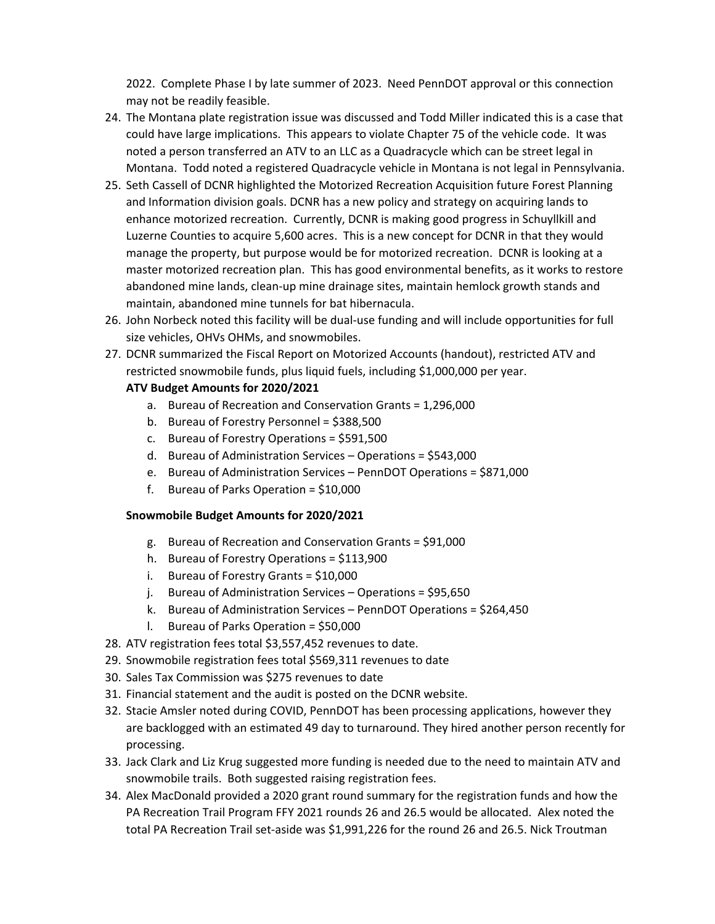2022. Complete Phase I by late summer of 2023. Need PennDOT approval or this connection may not be readily feasible.

- 24. The Montana plate registration issue was discussed and Todd Miller indicated this is a case that could have large implications. This appears to violate Chapter 75 of the vehicle code. It was noted a person transferred an ATV to an LLC as a Quadracycle which can be street legal in Montana. Todd noted a registered Quadracycle vehicle in Montana is not legal in Pennsylvania.
- 25. Seth Cassell of DCNR highlighted the Motorized Recreation Acquisition future Forest Planning and Information division goals. DCNR has a new policy and strategy on acquiring lands to enhance motorized recreation. Currently, DCNR is making good progress in Schuyllkill and Luzerne Counties to acquire 5,600 acres. This is a new concept for DCNR in that they would manage the property, but purpose would be for motorized recreation. DCNR is looking at a master motorized recreation plan. This has good environmental benefits, as it works to restore abandoned mine lands, clean‐up mine drainage sites, maintain hemlock growth stands and maintain, abandoned mine tunnels for bat hibernacula.
- 26. John Norbeck noted this facility will be dual‐use funding and will include opportunities for full size vehicles, OHVs OHMs, and snowmobiles.
- 27. DCNR summarized the Fiscal Report on Motorized Accounts (handout), restricted ATV and restricted snowmobile funds, plus liquid fuels, including \$1,000,000 per year.

# **ATV Budget Amounts for 2020/2021**

- a. Bureau of Recreation and Conservation Grants = 1,296,000
- b. Bureau of Forestry Personnel = \$388,500
- c. Bureau of Forestry Operations = \$591,500
- d. Bureau of Administration Services Operations = \$543,000
- e. Bureau of Administration Services PennDOT Operations = \$871,000
- f. Bureau of Parks Operation = \$10,000

### **Snowmobile Budget Amounts for 2020/2021**

- g. Bureau of Recreation and Conservation Grants = \$91,000
- h. Bureau of Forestry Operations = \$113,900
- i. Bureau of Forestry Grants = \$10,000
- j. Bureau of Administration Services Operations = \$95,650
- k. Bureau of Administration Services PennDOT Operations = \$264,450
- l. Bureau of Parks Operation = \$50,000
- 28. ATV registration fees total \$3,557,452 revenues to date.
- 29. Snowmobile registration fees total \$569,311 revenues to date
- 30. Sales Tax Commission was \$275 revenues to date
- 31. Financial statement and the audit is posted on the DCNR website.
- 32. Stacie Amsler noted during COVID, PennDOT has been processing applications, however they are backlogged with an estimated 49 day to turnaround. They hired another person recently for processing.
- 33. Jack Clark and Liz Krug suggested more funding is needed due to the need to maintain ATV and snowmobile trails. Both suggested raising registration fees.
- 34. Alex MacDonald provided a 2020 grant round summary for the registration funds and how the PA Recreation Trail Program FFY 2021 rounds 26 and 26.5 would be allocated. Alex noted the total PA Recreation Trail set‐aside was \$1,991,226 for the round 26 and 26.5. Nick Troutman